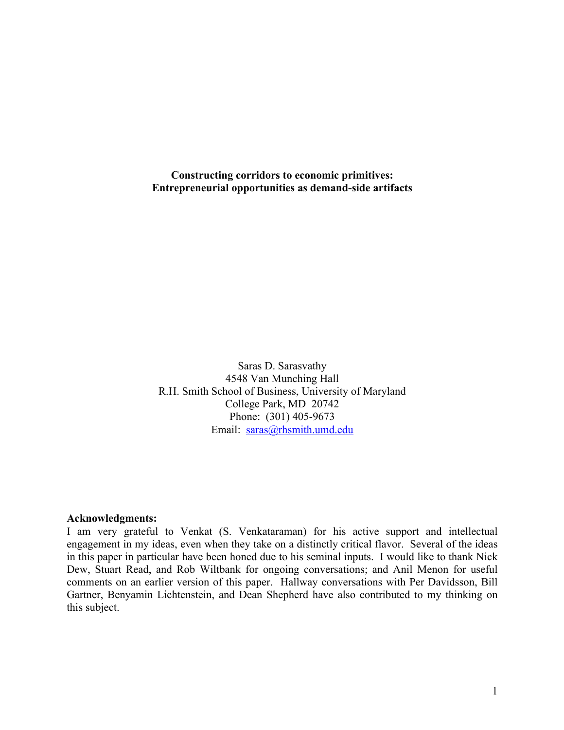**Constructing corridors to economic primitives: Entrepreneurial opportunities as demand-side artifacts**

Saras D. Sarasvathy 4548 Van Munching Hall R.H. Smith School of Business, University of Maryland College Park, MD 20742 Phone: (301) 405-9673 Email: saras@rhsmith.umd.edu

### **Acknowledgments:**

I am very grateful to Venkat (S. Venkataraman) for his active support and intellectual engagement in my ideas, even when they take on a distinctly critical flavor. Several of the ideas in this paper in particular have been honed due to his seminal inputs. I would like to thank Nick Dew, Stuart Read, and Rob Wiltbank for ongoing conversations; and Anil Menon for useful comments on an earlier version of this paper. Hallway conversations with Per Davidsson, Bill Gartner, Benyamin Lichtenstein, and Dean Shepherd have also contributed to my thinking on this subject.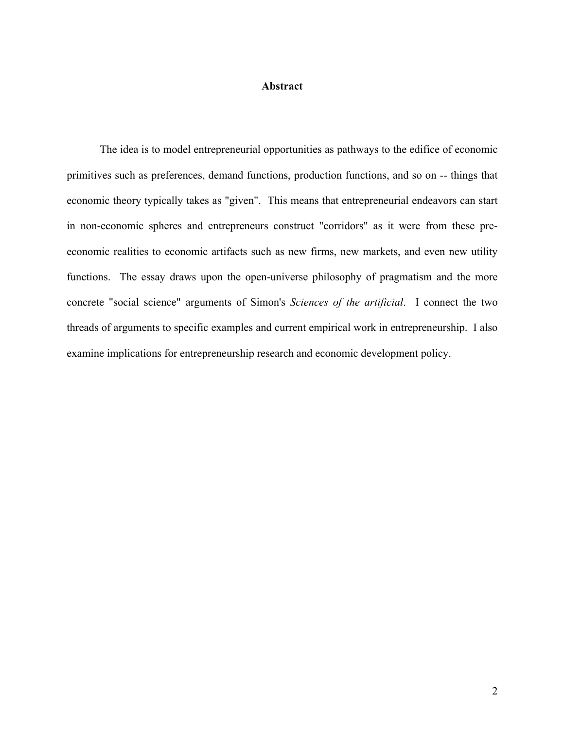### **Abstract**

The idea is to model entrepreneurial opportunities as pathways to the edifice of economic primitives such as preferences, demand functions, production functions, and so on -- things that economic theory typically takes as "given". This means that entrepreneurial endeavors can start in non-economic spheres and entrepreneurs construct "corridors" as it were from these preeconomic realities to economic artifacts such as new firms, new markets, and even new utility functions. The essay draws upon the open-universe philosophy of pragmatism and the more concrete "social science" arguments of Simon's *Sciences of the artificial*. I connect the two threads of arguments to specific examples and current empirical work in entrepreneurship. I also examine implications for entrepreneurship research and economic development policy.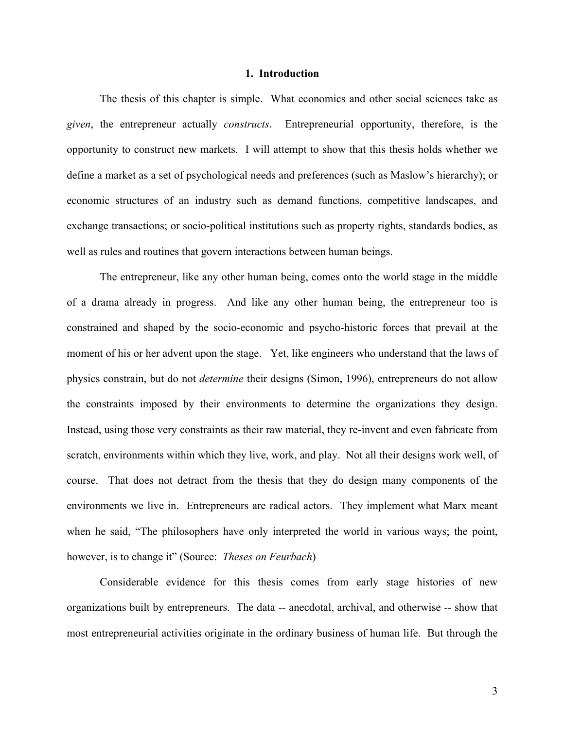### **1. Introduction**

The thesis of this chapter is simple. What economics and other social sciences take as *given*, the entrepreneur actually *constructs*. Entrepreneurial opportunity, therefore, is the opportunity to construct new markets. I will attempt to show that this thesis holds whether we define a market as a set of psychological needs and preferences (such as Maslow's hierarchy); or economic structures of an industry such as demand functions, competitive landscapes, and exchange transactions; or socio-political institutions such as property rights, standards bodies, as well as rules and routines that govern interactions between human beings.

The entrepreneur, like any other human being, comes onto the world stage in the middle of a drama already in progress. And like any other human being, the entrepreneur too is constrained and shaped by the socio-economic and psycho-historic forces that prevail at the moment of his or her advent upon the stage. Yet, like engineers who understand that the laws of physics constrain, but do not *determine* their designs (Simon, 1996), entrepreneurs do not allow the constraints imposed by their environments to determine the organizations they design. Instead, using those very constraints as their raw material, they re-invent and even fabricate from scratch, environments within which they live, work, and play. Not all their designs work well, of course. That does not detract from the thesis that they do design many components of the environments we live in. Entrepreneurs are radical actors. They implement what Marx meant when he said, "The philosophers have only interpreted the world in various ways; the point, however, is to change it" (Source: *Theses on Feurbach*)

Considerable evidence for this thesis comes from early stage histories of new organizations built by entrepreneurs. The data -- anecdotal, archival, and otherwise -- show that most entrepreneurial activities originate in the ordinary business of human life. But through the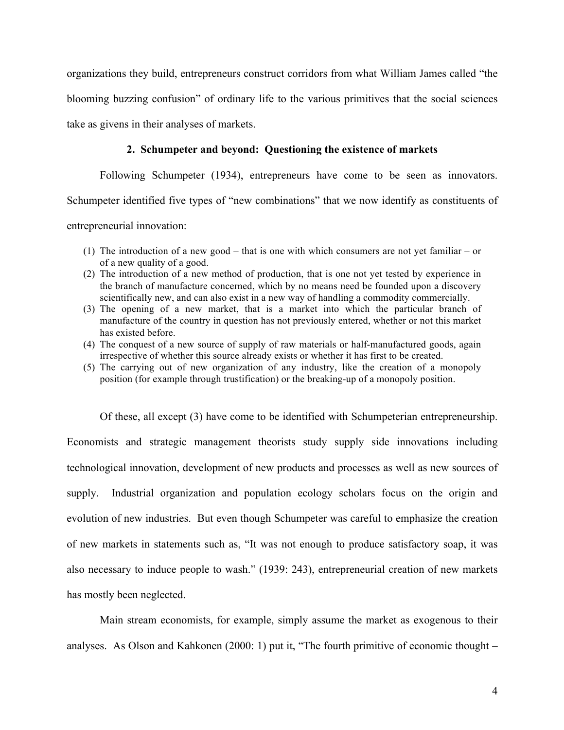organizations they build, entrepreneurs construct corridors from what William James called "the blooming buzzing confusion" of ordinary life to the various primitives that the social sciences take as givens in their analyses of markets.

## **2. Schumpeter and beyond: Questioning the existence of markets**

Following Schumpeter (1934), entrepreneurs have come to be seen as innovators.

Schumpeter identified five types of "new combinations" that we now identify as constituents of

entrepreneurial innovation:

- (1) The introduction of a new good that is one with which consumers are not yet familiar or of a new quality of a good.
- (2) The introduction of a new method of production, that is one not yet tested by experience in the branch of manufacture concerned, which by no means need be founded upon a discovery scientifically new, and can also exist in a new way of handling a commodity commercially.
- (3) The opening of a new market, that is a market into which the particular branch of manufacture of the country in question has not previously entered, whether or not this market has existed before.
- (4) The conquest of a new source of supply of raw materials or half-manufactured goods, again irrespective of whether this source already exists or whether it has first to be created.
- (5) The carrying out of new organization of any industry, like the creation of a monopoly position (for example through trustification) or the breaking-up of a monopoly position.

Of these, all except (3) have come to be identified with Schumpeterian entrepreneurship. Economists and strategic management theorists study supply side innovations including technological innovation, development of new products and processes as well as new sources of supply. Industrial organization and population ecology scholars focus on the origin and evolution of new industries. But even though Schumpeter was careful to emphasize the creation of new markets in statements such as, "It was not enough to produce satisfactory soap, it was also necessary to induce people to wash." (1939: 243), entrepreneurial creation of new markets has mostly been neglected.

Main stream economists, for example, simply assume the market as exogenous to their analyses. As Olson and Kahkonen  $(2000: 1)$  put it, "The fourth primitive of economic thought –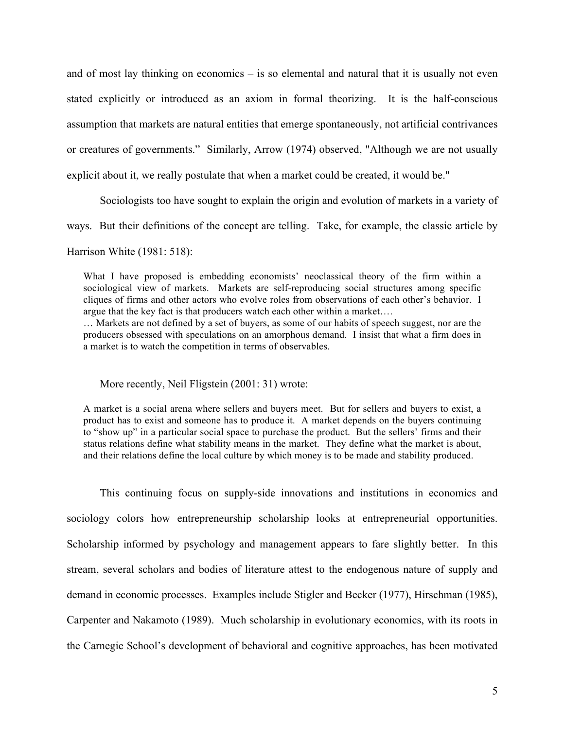and of most lay thinking on economics – is so elemental and natural that it is usually not even stated explicitly or introduced as an axiom in formal theorizing. It is the half-conscious assumption that markets are natural entities that emerge spontaneously, not artificial contrivances or creatures of governments." Similarly, Arrow (1974) observed, "Although we are not usually explicit about it, we really postulate that when a market could be created, it would be."

Sociologists too have sought to explain the origin and evolution of markets in a variety of

ways. But their definitions of the concept are telling. Take, for example, the classic article by

Harrison White (1981: 518):

What I have proposed is embedding economists' neoclassical theory of the firm within a sociological view of markets. Markets are self-reproducing social structures among specific cliques of firms and other actors who evolve roles from observations of each other's behavior. I argue that the key fact is that producers watch each other within a market….

… Markets are not defined by a set of buyers, as some of our habits of speech suggest, nor are the producers obsessed with speculations on an amorphous demand. I insist that what a firm does in a market is to watch the competition in terms of observables.

More recently, Neil Fligstein (2001: 31) wrote:

A market is a social arena where sellers and buyers meet. But for sellers and buyers to exist, a product has to exist and someone has to produce it. A market depends on the buyers continuing to "show up" in a particular social space to purchase the product. But the sellers' firms and their status relations define what stability means in the market. They define what the market is about, and their relations define the local culture by which money is to be made and stability produced.

This continuing focus on supply-side innovations and institutions in economics and sociology colors how entrepreneurship scholarship looks at entrepreneurial opportunities. Scholarship informed by psychology and management appears to fare slightly better. In this stream, several scholars and bodies of literature attest to the endogenous nature of supply and demand in economic processes. Examples include Stigler and Becker (1977), Hirschman (1985), Carpenter and Nakamoto (1989). Much scholarship in evolutionary economics, with its roots in the Carnegie School's development of behavioral and cognitive approaches, has been motivated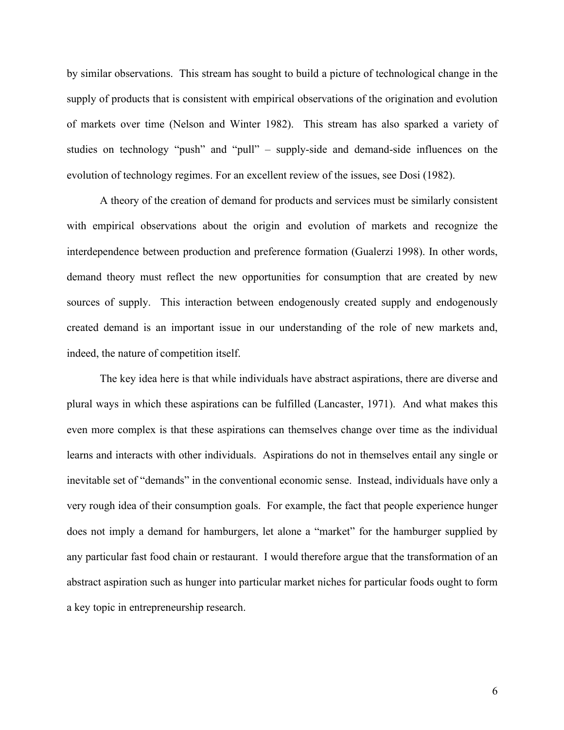by similar observations. This stream has sought to build a picture of technological change in the supply of products that is consistent with empirical observations of the origination and evolution of markets over time (Nelson and Winter 1982). This stream has also sparked a variety of studies on technology "push" and "pull" – supply-side and demand-side influences on the evolution of technology regimes. For an excellent review of the issues, see Dosi (1982).

A theory of the creation of demand for products and services must be similarly consistent with empirical observations about the origin and evolution of markets and recognize the interdependence between production and preference formation (Gualerzi 1998). In other words, demand theory must reflect the new opportunities for consumption that are created by new sources of supply. This interaction between endogenously created supply and endogenously created demand is an important issue in our understanding of the role of new markets and, indeed, the nature of competition itself.

The key idea here is that while individuals have abstract aspirations, there are diverse and plural ways in which these aspirations can be fulfilled (Lancaster, 1971). And what makes this even more complex is that these aspirations can themselves change over time as the individual learns and interacts with other individuals. Aspirations do not in themselves entail any single or inevitable set of "demands" in the conventional economic sense. Instead, individuals have only a very rough idea of their consumption goals. For example, the fact that people experience hunger does not imply a demand for hamburgers, let alone a "market" for the hamburger supplied by any particular fast food chain or restaurant. I would therefore argue that the transformation of an abstract aspiration such as hunger into particular market niches for particular foods ought to form a key topic in entrepreneurship research.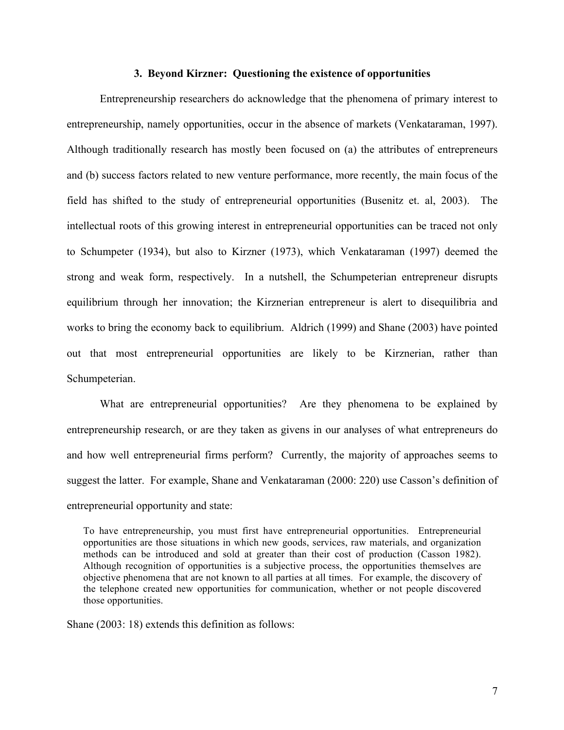### **3. Beyond Kirzner: Questioning the existence of opportunities**

Entrepreneurship researchers do acknowledge that the phenomena of primary interest to entrepreneurship, namely opportunities, occur in the absence of markets (Venkataraman, 1997). Although traditionally research has mostly been focused on (a) the attributes of entrepreneurs and (b) success factors related to new venture performance, more recently, the main focus of the field has shifted to the study of entrepreneurial opportunities (Busenitz et. al, 2003). The intellectual roots of this growing interest in entrepreneurial opportunities can be traced not only to Schumpeter (1934), but also to Kirzner (1973), which Venkataraman (1997) deemed the strong and weak form, respectively. In a nutshell, the Schumpeterian entrepreneur disrupts equilibrium through her innovation; the Kirznerian entrepreneur is alert to disequilibria and works to bring the economy back to equilibrium. Aldrich (1999) and Shane (2003) have pointed out that most entrepreneurial opportunities are likely to be Kirznerian, rather than Schumpeterian.

What are entrepreneurial opportunities? Are they phenomena to be explained by entrepreneurship research, or are they taken as givens in our analyses of what entrepreneurs do and how well entrepreneurial firms perform? Currently, the majority of approaches seems to suggest the latter. For example, Shane and Venkataraman (2000: 220) use Casson's definition of entrepreneurial opportunity and state:

To have entrepreneurship, you must first have entrepreneurial opportunities. Entrepreneurial opportunities are those situations in which new goods, services, raw materials, and organization methods can be introduced and sold at greater than their cost of production (Casson 1982). Although recognition of opportunities is a subjective process, the opportunities themselves are objective phenomena that are not known to all parties at all times. For example, the discovery of the telephone created new opportunities for communication, whether or not people discovered those opportunities.

Shane (2003: 18) extends this definition as follows: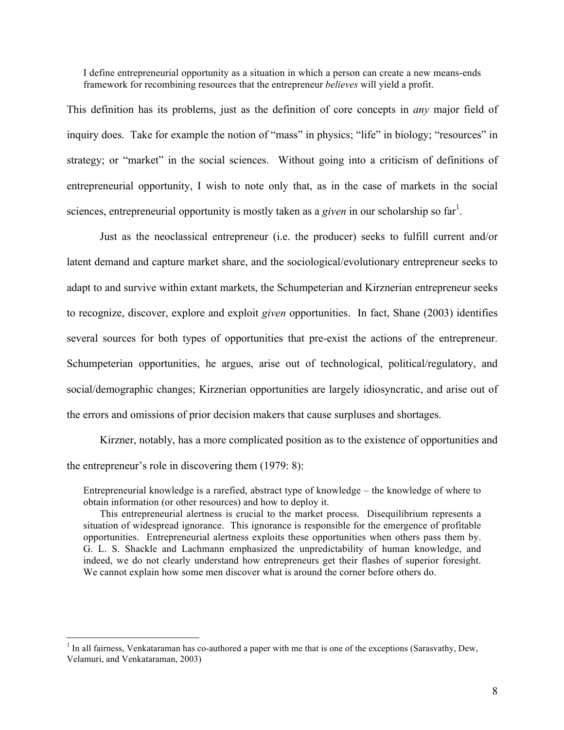I define entrepreneurial opportunity as a situation in which a person can create a new means-ends framework for recombining resources that the entrepreneur *believes* will yield a profit.

This definition has its problems, just as the definition of core concepts in *any* major field of inquiry does. Take for example the notion of "mass" in physics; "life" in biology; "resources" in strategy; or "market" in the social sciences. Without going into a criticism of definitions of entrepreneurial opportunity, I wish to note only that, as in the case of markets in the social sciences, entrepreneurial opportunity is mostly taken as a *given* in our scholarship so far<sup>1</sup>.

Just as the neoclassical entrepreneur (i.e. the producer) seeks to fulfill current and/or latent demand and capture market share, and the sociological/evolutionary entrepreneur seeks to adapt to and survive within extant markets, the Schumpeterian and Kirznerian entrepreneur seeks to recognize, discover, explore and exploit *given* opportunities. In fact, Shane (2003) identifies several sources for both types of opportunities that pre-exist the actions of the entrepreneur. Schumpeterian opportunities, he argues, arise out of technological, political/regulatory, and social/demographic changes; Kirznerian opportunities are largely idiosyncratic, and arise out of the errors and omissions of prior decision makers that cause surpluses and shortages.

Kirzner, notably, has a more complicated position as to the existence of opportunities and the entrepreneur's role in discovering them (1979: 8):

Entrepreneurial knowledge is a rarefied, abstract type of knowledge – the knowledge of where to obtain information (or other resources) and how to deploy it.

This entrepreneurial alertness is crucial to the market process. Disequilibrium represents a situation of widespread ignorance. This ignorance is responsible for the emergence of profitable opportunities. Entrepreneurial alertness exploits these opportunities when others pass them by. G. L. S. Shackle and Lachmann emphasized the unpredictability of human knowledge, and indeed, we do not clearly understand how entrepreneurs get their flashes of superior foresight. We cannot explain how some men discover what is around the corner before others do.

<sup>&</sup>lt;sup>1</sup> In all fairness, Venkataraman has co-authored a paper with me that is one of the exceptions (Sarasvathy, Dew, Velamuri, and Venkataraman, 2003)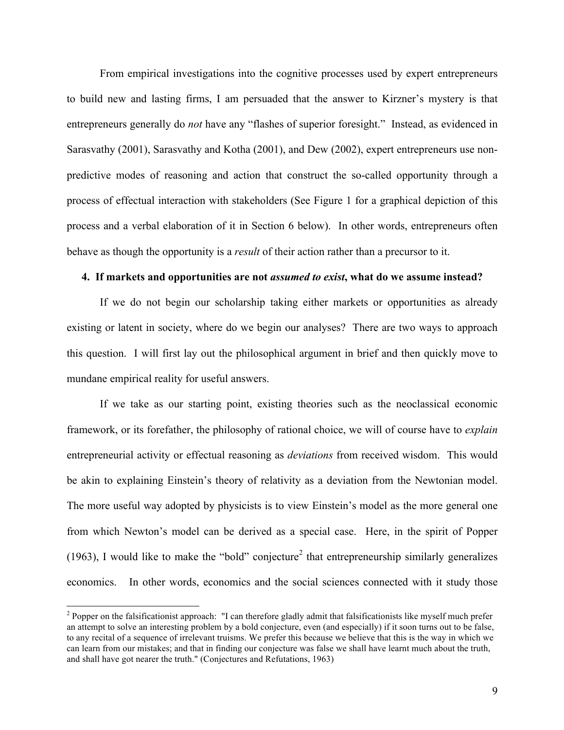From empirical investigations into the cognitive processes used by expert entrepreneurs to build new and lasting firms, I am persuaded that the answer to Kirzner's mystery is that entrepreneurs generally do *not* have any "flashes of superior foresight." Instead, as evidenced in Sarasvathy (2001), Sarasvathy and Kotha (2001), and Dew (2002), expert entrepreneurs use nonpredictive modes of reasoning and action that construct the so-called opportunity through a process of effectual interaction with stakeholders (See Figure 1 for a graphical depiction of this process and a verbal elaboration of it in Section 6 below). In other words, entrepreneurs often behave as though the opportunity is a *result* of their action rather than a precursor to it.

### **4. If markets and opportunities are not** *assumed to exist***, what do we assume instead?**

If we do not begin our scholarship taking either markets or opportunities as already existing or latent in society, where do we begin our analyses? There are two ways to approach this question. I will first lay out the philosophical argument in brief and then quickly move to mundane empirical reality for useful answers.

If we take as our starting point, existing theories such as the neoclassical economic framework, or its forefather, the philosophy of rational choice, we will of course have to *explain*  entrepreneurial activity or effectual reasoning as *deviations* from received wisdom. This would be akin to explaining Einstein's theory of relativity as a deviation from the Newtonian model. The more useful way adopted by physicists is to view Einstein's model as the more general one from which Newton's model can be derived as a special case. Here, in the spirit of Popper (1963), I would like to make the "bold" conjecture<sup>2</sup> that entrepreneurship similarly generalizes economics. In other words, economics and the social sciences connected with it study those

<sup>&</sup>lt;sup>2</sup> Popper on the falsificationist approach: "I can therefore gladly admit that falsificationists like myself much prefer an attempt to solve an interesting problem by a bold conjecture, even (and especially) if it soon turns out to be false, to any recital of a sequence of irrelevant truisms. We prefer this because we believe that this is the way in which we can learn from our mistakes; and that in finding our conjecture was false we shall have learnt much about the truth, and shall have got nearer the truth." (Conjectures and Refutations, 1963)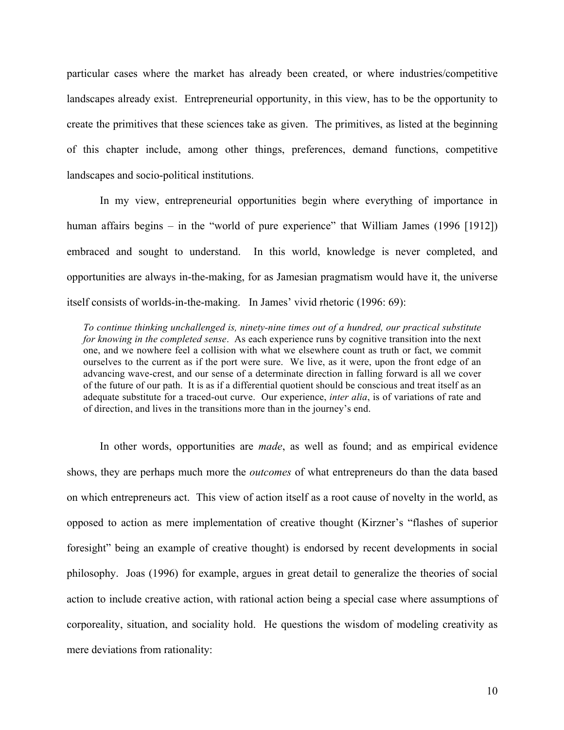particular cases where the market has already been created, or where industries/competitive landscapes already exist. Entrepreneurial opportunity, in this view, has to be the opportunity to create the primitives that these sciences take as given. The primitives, as listed at the beginning of this chapter include, among other things, preferences, demand functions, competitive landscapes and socio-political institutions.

In my view, entrepreneurial opportunities begin where everything of importance in human affairs begins – in the "world of pure experience" that William James (1996 [1912]) embraced and sought to understand. In this world, knowledge is never completed, and opportunities are always in-the-making, for as Jamesian pragmatism would have it, the universe itself consists of worlds-in-the-making. In James' vivid rhetoric (1996: 69):

*To continue thinking unchallenged is, ninety-nine times out of a hundred, our practical substitute for knowing in the completed sense*. As each experience runs by cognitive transition into the next one, and we nowhere feel a collision with what we elsewhere count as truth or fact, we commit ourselves to the current as if the port were sure. We live, as it were, upon the front edge of an advancing wave-crest, and our sense of a determinate direction in falling forward is all we cover of the future of our path. It is as if a differential quotient should be conscious and treat itself as an adequate substitute for a traced-out curve. Our experience, *inter alia*, is of variations of rate and of direction, and lives in the transitions more than in the journey's end.

In other words, opportunities are *made*, as well as found; and as empirical evidence shows, they are perhaps much more the *outcomes* of what entrepreneurs do than the data based on which entrepreneurs act. This view of action itself as a root cause of novelty in the world, as opposed to action as mere implementation of creative thought (Kirzner's "flashes of superior foresight" being an example of creative thought) is endorsed by recent developments in social philosophy. Joas (1996) for example, argues in great detail to generalize the theories of social action to include creative action, with rational action being a special case where assumptions of corporeality, situation, and sociality hold. He questions the wisdom of modeling creativity as mere deviations from rationality: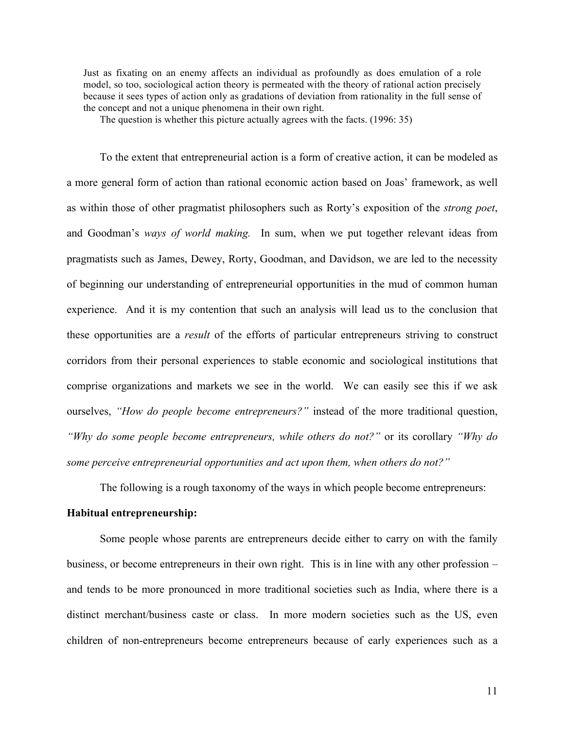Just as fixating on an enemy affects an individual as profoundly as does emulation of a role model, so too, sociological action theory is permeated with the theory of rational action precisely because it sees types of action only as gradations of deviation from rationality in the full sense of the concept and not a unique phenomena in their own right.

The question is whether this picture actually agrees with the facts. (1996: 35)

To the extent that entrepreneurial action is a form of creative action, it can be modeled as a more general form of action than rational economic action based on Joas' framework, as well as within those of other pragmatist philosophers such as Rorty's exposition of the *strong poet*, and Goodman's *ways of world making.* In sum, when we put together relevant ideas from pragmatists such as James, Dewey, Rorty, Goodman, and Davidson, we are led to the necessity of beginning our understanding of entrepreneurial opportunities in the mud of common human experience. And it is my contention that such an analysis will lead us to the conclusion that these opportunities are a *result* of the efforts of particular entrepreneurs striving to construct corridors from their personal experiences to stable economic and sociological institutions that comprise organizations and markets we see in the world. We can easily see this if we ask ourselves, *"How do people become entrepreneurs?"* instead of the more traditional question, *"Why do some people become entrepreneurs, while others do not?"* or its corollary *"Why do some perceive entrepreneurial opportunities and act upon them, when others do not?"*

The following is a rough taxonomy of the ways in which people become entrepreneurs:

### **Habitual entrepreneurship:**

Some people whose parents are entrepreneurs decide either to carry on with the family business, or become entrepreneurs in their own right. This is in line with any other profession – and tends to be more pronounced in more traditional societies such as India, where there is a distinct merchant/business caste or class. In more modern societies such as the US, even children of non-entrepreneurs become entrepreneurs because of early experiences such as a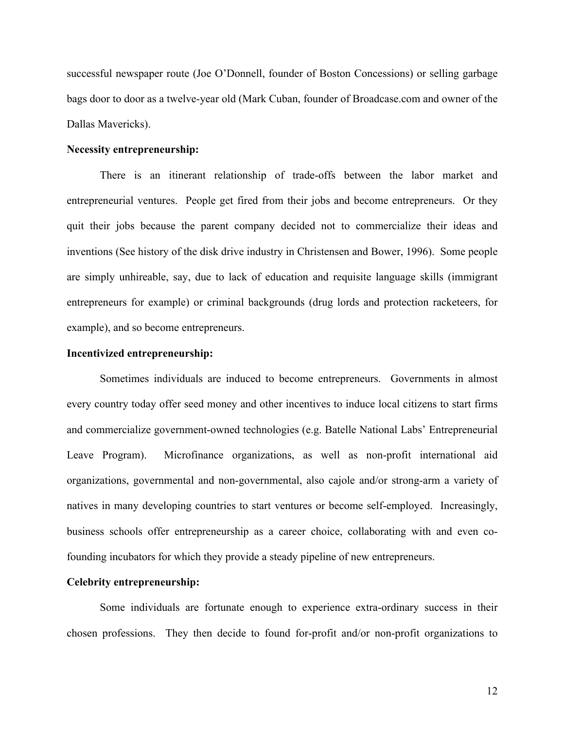successful newspaper route (Joe O'Donnell, founder of Boston Concessions) or selling garbage bags door to door as a twelve-year old (Mark Cuban, founder of Broadcase.com and owner of the Dallas Mavericks).

### **Necessity entrepreneurship:**

There is an itinerant relationship of trade-offs between the labor market and entrepreneurial ventures. People get fired from their jobs and become entrepreneurs. Or they quit their jobs because the parent company decided not to commercialize their ideas and inventions (See history of the disk drive industry in Christensen and Bower, 1996). Some people are simply unhireable, say, due to lack of education and requisite language skills (immigrant entrepreneurs for example) or criminal backgrounds (drug lords and protection racketeers, for example), and so become entrepreneurs.

#### **Incentivized entrepreneurship:**

Sometimes individuals are induced to become entrepreneurs. Governments in almost every country today offer seed money and other incentives to induce local citizens to start firms and commercialize government-owned technologies (e.g. Batelle National Labs' Entrepreneurial Leave Program). Microfinance organizations, as well as non-profit international aid organizations, governmental and non-governmental, also cajole and/or strong-arm a variety of natives in many developing countries to start ventures or become self-employed. Increasingly, business schools offer entrepreneurship as a career choice, collaborating with and even cofounding incubators for which they provide a steady pipeline of new entrepreneurs.

### **Celebrity entrepreneurship:**

Some individuals are fortunate enough to experience extra-ordinary success in their chosen professions. They then decide to found for-profit and/or non-profit organizations to

12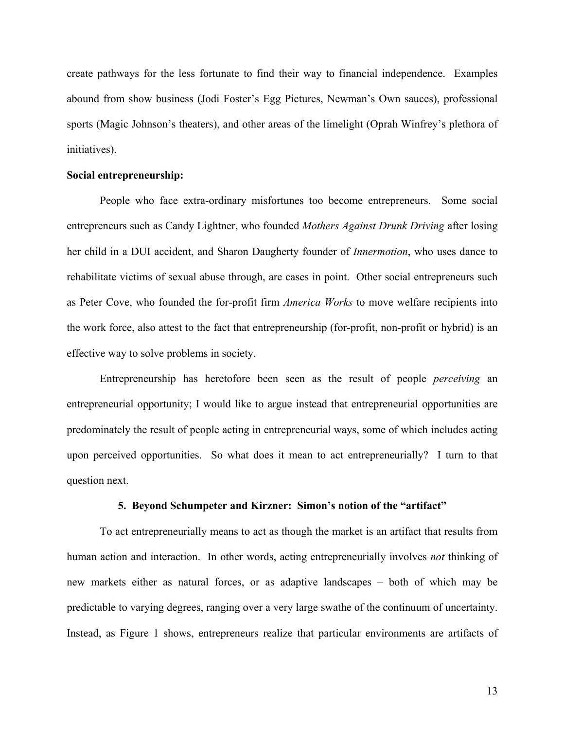create pathways for the less fortunate to find their way to financial independence. Examples abound from show business (Jodi Foster's Egg Pictures, Newman's Own sauces), professional sports (Magic Johnson's theaters), and other areas of the limelight (Oprah Winfrey's plethora of initiatives).

### **Social entrepreneurship:**

People who face extra-ordinary misfortunes too become entrepreneurs. Some social entrepreneurs such as Candy Lightner, who founded *Mothers Against Drunk Driving* after losing her child in a DUI accident, and Sharon Daugherty founder of *Innermotion*, who uses dance to rehabilitate victims of sexual abuse through, are cases in point. Other social entrepreneurs such as Peter Cove, who founded the for-profit firm *America Works* to move welfare recipients into the work force, also attest to the fact that entrepreneurship (for-profit, non-profit or hybrid) is an effective way to solve problems in society.

Entrepreneurship has heretofore been seen as the result of people *perceiving* an entrepreneurial opportunity; I would like to argue instead that entrepreneurial opportunities are predominately the result of people acting in entrepreneurial ways, some of which includes acting upon perceived opportunities. So what does it mean to act entrepreneurially? I turn to that question next.

### **5. Beyond Schumpeter and Kirzner: Simon's notion of the "artifact"**

To act entrepreneurially means to act as though the market is an artifact that results from human action and interaction. In other words, acting entrepreneurially involves *not* thinking of new markets either as natural forces, or as adaptive landscapes – both of which may be predictable to varying degrees, ranging over a very large swathe of the continuum of uncertainty. Instead, as Figure 1 shows, entrepreneurs realize that particular environments are artifacts of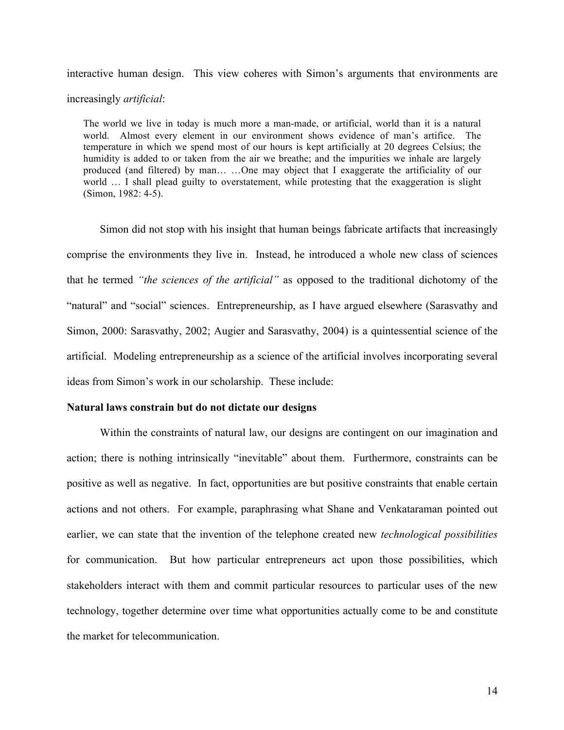interactive human design. This view coheres with Simon's arguments that environments are increasingly *artificial*:

The world we live in today is much more a man-made, or artificial, world than it is a natural world. Almost every element in our environment shows evidence of man's artifice. The temperature in which we spend most of our hours is kept artificially at 20 degrees Celsius; the humidity is added to or taken from the air we breathe; and the impurities we inhale are largely produced (and filtered) by man… …One may object that I exaggerate the artificiality of our world … I shall plead guilty to overstatement, while protesting that the exaggeration is slight (Simon, 1982: 4-5).

Simon did not stop with his insight that human beings fabricate artifacts that increasingly comprise the environments they live in. Instead, he introduced a whole new class of sciences that he termed *"the sciences of the artificial"* as opposed to the traditional dichotomy of the "natural" and "social" sciences. Entrepreneurship, as I have argued elsewhere (Sarasvathy and Simon, 2000: Sarasvathy, 2002; Augier and Sarasvathy, 2004) is a quintessential science of the artificial. Modeling entrepreneurship as a science of the artificial involves incorporating several ideas from Simon's work in our scholarship. These include:

### **Natural laws constrain but do not dictate our designs**

Within the constraints of natural law, our designs are contingent on our imagination and action; there is nothing intrinsically "inevitable" about them. Furthermore, constraints can be positive as well as negative. In fact, opportunities are but positive constraints that enable certain actions and not others. For example, paraphrasing what Shane and Venkataraman pointed out earlier, we can state that the invention of the telephone created new *technological possibilities* for communication. But how particular entrepreneurs act upon those possibilities, which stakeholders interact with them and commit particular resources to particular uses of the new technology, together determine over time what opportunities actually come to be and constitute the market for telecommunication.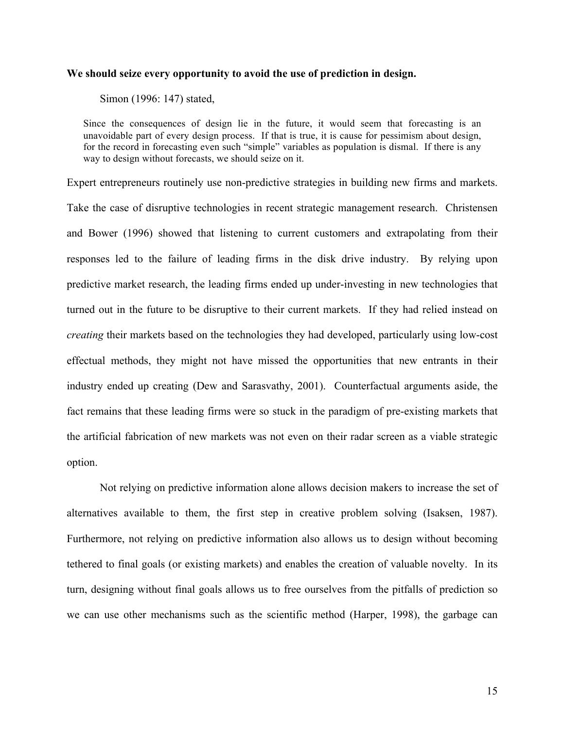### **We should seize every opportunity to avoid the use of prediction in design.**

Simon (1996: 147) stated,

Since the consequences of design lie in the future, it would seem that forecasting is an unavoidable part of every design process. If that is true, it is cause for pessimism about design, for the record in forecasting even such "simple" variables as population is dismal. If there is any way to design without forecasts, we should seize on it.

Expert entrepreneurs routinely use non-predictive strategies in building new firms and markets. Take the case of disruptive technologies in recent strategic management research. Christensen and Bower (1996) showed that listening to current customers and extrapolating from their responses led to the failure of leading firms in the disk drive industry. By relying upon predictive market research, the leading firms ended up under-investing in new technologies that turned out in the future to be disruptive to their current markets. If they had relied instead on *creating* their markets based on the technologies they had developed, particularly using low-cost effectual methods, they might not have missed the opportunities that new entrants in their industry ended up creating (Dew and Sarasvathy, 2001). Counterfactual arguments aside, the fact remains that these leading firms were so stuck in the paradigm of pre-existing markets that the artificial fabrication of new markets was not even on their radar screen as a viable strategic option.

Not relying on predictive information alone allows decision makers to increase the set of alternatives available to them, the first step in creative problem solving (Isaksen, 1987). Furthermore, not relying on predictive information also allows us to design without becoming tethered to final goals (or existing markets) and enables the creation of valuable novelty. In its turn, designing without final goals allows us to free ourselves from the pitfalls of prediction so we can use other mechanisms such as the scientific method (Harper, 1998), the garbage can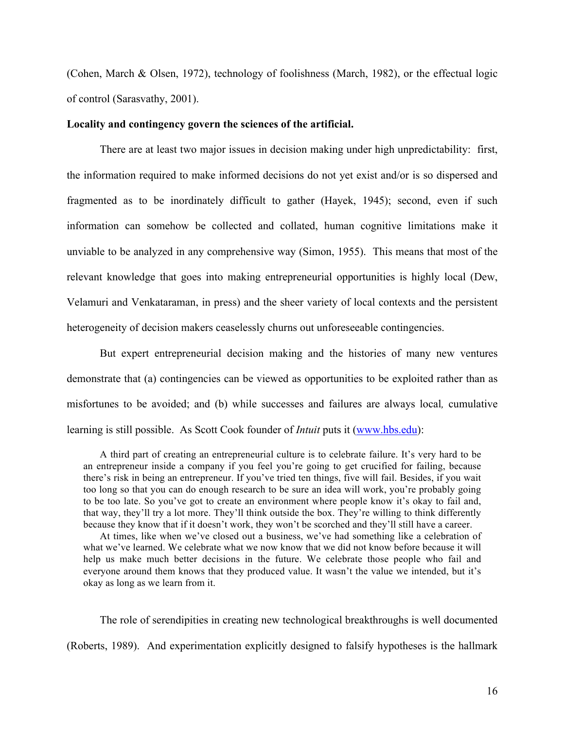(Cohen, March & Olsen, 1972), technology of foolishness (March, 1982), or the effectual logic of control (Sarasvathy, 2001).

### **Locality and contingency govern the sciences of the artificial.**

There are at least two major issues in decision making under high unpredictability: first, the information required to make informed decisions do not yet exist and/or is so dispersed and fragmented as to be inordinately difficult to gather (Hayek, 1945); second, even if such information can somehow be collected and collated, human cognitive limitations make it unviable to be analyzed in any comprehensive way (Simon, 1955). This means that most of the relevant knowledge that goes into making entrepreneurial opportunities is highly local (Dew, Velamuri and Venkataraman, in press) and the sheer variety of local contexts and the persistent heterogeneity of decision makers ceaselessly churns out unforeseeable contingencies.

But expert entrepreneurial decision making and the histories of many new ventures demonstrate that (a) contingencies can be viewed as opportunities to be exploited rather than as misfortunes to be avoided; and (b) while successes and failures are always local*,* cumulative learning is still possible. As Scott Cook founder of *Intuit* puts it (www.hbs.edu):

A third part of creating an entrepreneurial culture is to celebrate failure. It's very hard to be an entrepreneur inside a company if you feel you're going to get crucified for failing, because there's risk in being an entrepreneur. If you've tried ten things, five will fail. Besides, if you wait too long so that you can do enough research to be sure an idea will work, you're probably going to be too late. So you've got to create an environment where people know it's okay to fail and, that way, they'll try a lot more. They'll think outside the box. They're willing to think differently because they know that if it doesn't work, they won't be scorched and they'll still have a career.

At times, like when we've closed out a business, we've had something like a celebration of what we've learned. We celebrate what we now know that we did not know before because it will help us make much better decisions in the future. We celebrate those people who fail and everyone around them knows that they produced value. It wasn't the value we intended, but it's okay as long as we learn from it.

The role of serendipities in creating new technological breakthroughs is well documented (Roberts, 1989). And experimentation explicitly designed to falsify hypotheses is the hallmark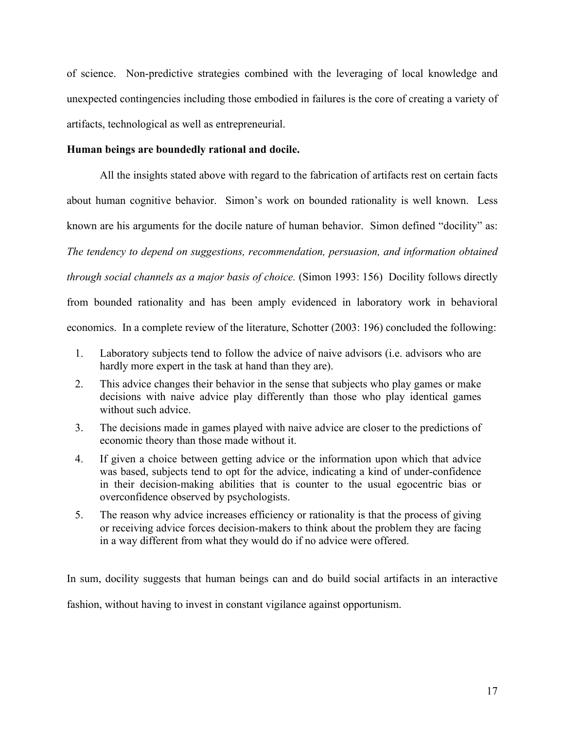of science. Non-predictive strategies combined with the leveraging of local knowledge and unexpected contingencies including those embodied in failures is the core of creating a variety of artifacts, technological as well as entrepreneurial.

# **Human beings are boundedly rational and docile.**

All the insights stated above with regard to the fabrication of artifacts rest on certain facts about human cognitive behavior. Simon's work on bounded rationality is well known. Less known are his arguments for the docile nature of human behavior. Simon defined "docility" as: *The tendency to depend on suggestions, recommendation, persuasion, and information obtained through social channels as a major basis of choice.* (Simon 1993: 156) Docility follows directly from bounded rationality and has been amply evidenced in laboratory work in behavioral economics. In a complete review of the literature, Schotter (2003: 196) concluded the following:

- 1. Laboratory subjects tend to follow the advice of naive advisors (i.e. advisors who are hardly more expert in the task at hand than they are).
- 2. This advice changes their behavior in the sense that subjects who play games or make decisions with naive advice play differently than those who play identical games without such advice.
- 3. The decisions made in games played with naive advice are closer to the predictions of economic theory than those made without it.
- 4. If given a choice between getting advice or the information upon which that advice was based, subjects tend to opt for the advice, indicating a kind of under-confidence in their decision-making abilities that is counter to the usual egocentric bias or overconfidence observed by psychologists.
- 5. The reason why advice increases efficiency or rationality is that the process of giving or receiving advice forces decision-makers to think about the problem they are facing in a way different from what they would do if no advice were offered.

In sum, docility suggests that human beings can and do build social artifacts in an interactive fashion, without having to invest in constant vigilance against opportunism.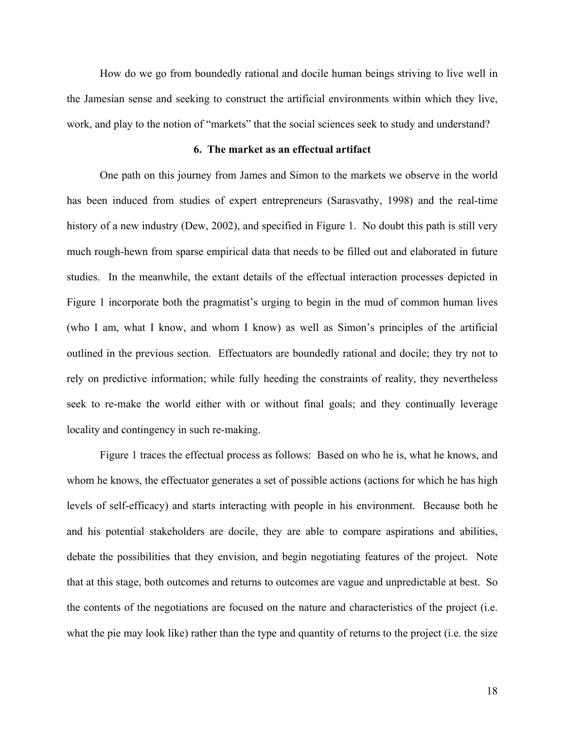How do we go from boundedly rational and docile human beings striving to live well in the Jamesian sense and seeking to construct the artificial environments within which they live, work, and play to the notion of "markets" that the social sciences seek to study and understand?

### **6. The market as an effectual artifact**

One path on this journey from James and Simon to the markets we observe in the world has been induced from studies of expert entrepreneurs (Sarasvathy, 1998) and the real-time history of a new industry (Dew, 2002), and specified in Figure 1. No doubt this path is still very much rough-hewn from sparse empirical data that needs to be filled out and elaborated in future studies. In the meanwhile, the extant details of the effectual interaction processes depicted in Figure 1 incorporate both the pragmatist's urging to begin in the mud of common human lives (who I am, what I know, and whom I know) as well as Simon's principles of the artificial outlined in the previous section. Effectuators are boundedly rational and docile; they try not to rely on predictive information; while fully heeding the constraints of reality, they nevertheless seek to re-make the world either with or without final goals; and they continually leverage locality and contingency in such re-making.

Figure 1 traces the effectual process as follows: Based on who he is, what he knows, and whom he knows, the effectuator generates a set of possible actions (actions for which he has high levels of self-efficacy) and starts interacting with people in his environment. Because both he and his potential stakeholders are docile, they are able to compare aspirations and abilities, debate the possibilities that they envision, and begin negotiating features of the project. Note that at this stage, both outcomes and returns to outcomes are vague and unpredictable at best. So the contents of the negotiations are focused on the nature and characteristics of the project (i.e. what the pie may look like) rather than the type and quantity of returns to the project (i.e. the size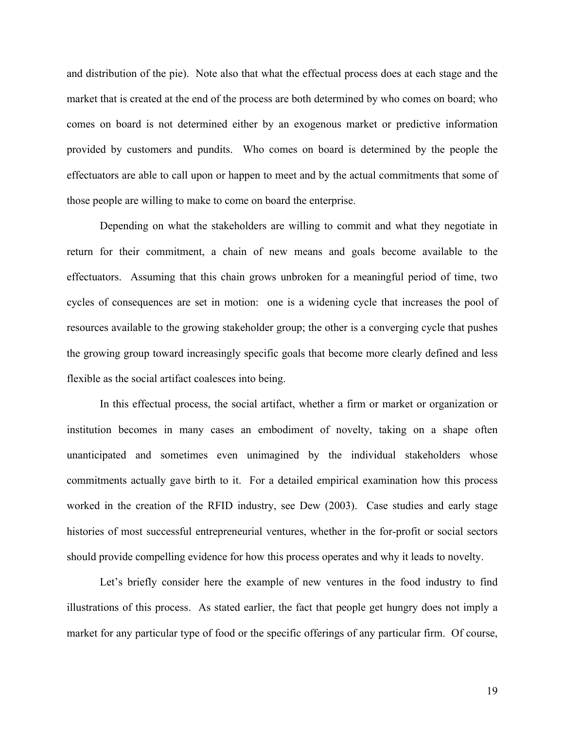and distribution of the pie). Note also that what the effectual process does at each stage and the market that is created at the end of the process are both determined by who comes on board; who comes on board is not determined either by an exogenous market or predictive information provided by customers and pundits. Who comes on board is determined by the people the effectuators are able to call upon or happen to meet and by the actual commitments that some of those people are willing to make to come on board the enterprise.

Depending on what the stakeholders are willing to commit and what they negotiate in return for their commitment, a chain of new means and goals become available to the effectuators. Assuming that this chain grows unbroken for a meaningful period of time, two cycles of consequences are set in motion: one is a widening cycle that increases the pool of resources available to the growing stakeholder group; the other is a converging cycle that pushes the growing group toward increasingly specific goals that become more clearly defined and less flexible as the social artifact coalesces into being.

In this effectual process, the social artifact, whether a firm or market or organization or institution becomes in many cases an embodiment of novelty, taking on a shape often unanticipated and sometimes even unimagined by the individual stakeholders whose commitments actually gave birth to it. For a detailed empirical examination how this process worked in the creation of the RFID industry, see Dew (2003). Case studies and early stage histories of most successful entrepreneurial ventures, whether in the for-profit or social sectors should provide compelling evidence for how this process operates and why it leads to novelty.

Let's briefly consider here the example of new ventures in the food industry to find illustrations of this process. As stated earlier, the fact that people get hungry does not imply a market for any particular type of food or the specific offerings of any particular firm. Of course,

19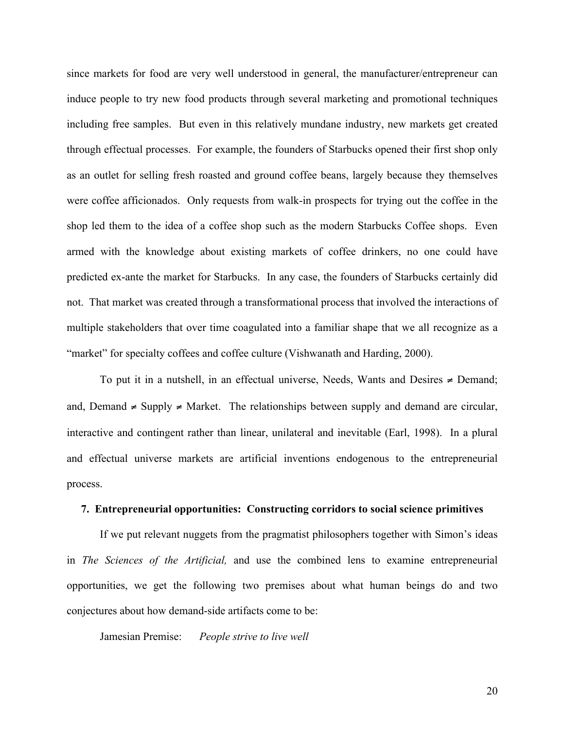since markets for food are very well understood in general, the manufacturer/entrepreneur can induce people to try new food products through several marketing and promotional techniques including free samples. But even in this relatively mundane industry, new markets get created through effectual processes. For example, the founders of Starbucks opened their first shop only as an outlet for selling fresh roasted and ground coffee beans, largely because they themselves were coffee afficionados. Only requests from walk-in prospects for trying out the coffee in the shop led them to the idea of a coffee shop such as the modern Starbucks Coffee shops. Even armed with the knowledge about existing markets of coffee drinkers, no one could have predicted ex-ante the market for Starbucks. In any case, the founders of Starbucks certainly did not. That market was created through a transformational process that involved the interactions of multiple stakeholders that over time coagulated into a familiar shape that we all recognize as a "market" for specialty coffees and coffee culture (Vishwanath and Harding, 2000).

To put it in a nutshell, in an effectual universe, Needs, Wants and Desires  $\neq$  Demand; and, Demand  $\neq$  Supply  $\neq$  Market. The relationships between supply and demand are circular, interactive and contingent rather than linear, unilateral and inevitable (Earl, 1998). In a plural and effectual universe markets are artificial inventions endogenous to the entrepreneurial process.

### **7. Entrepreneurial opportunities: Constructing corridors to social science primitives**

If we put relevant nuggets from the pragmatist philosophers together with Simon's ideas in *The Sciences of the Artificial,* and use the combined lens to examine entrepreneurial opportunities, we get the following two premises about what human beings do and two conjectures about how demand-side artifacts come to be:

Jamesian Premise: *People strive to live well*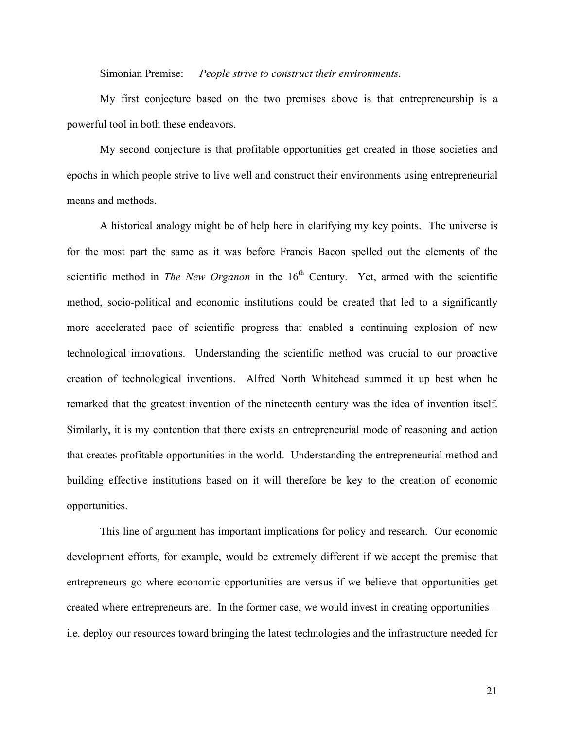Simonian Premise: *People strive to construct their environments.*

My first conjecture based on the two premises above is that entrepreneurship is a powerful tool in both these endeavors.

My second conjecture is that profitable opportunities get created in those societies and epochs in which people strive to live well and construct their environments using entrepreneurial means and methods.

A historical analogy might be of help here in clarifying my key points. The universe is for the most part the same as it was before Francis Bacon spelled out the elements of the scientific method in *The New Organon* in the  $16<sup>th</sup>$  Century. Yet, armed with the scientific method, socio-political and economic institutions could be created that led to a significantly more accelerated pace of scientific progress that enabled a continuing explosion of new technological innovations. Understanding the scientific method was crucial to our proactive creation of technological inventions. Alfred North Whitehead summed it up best when he remarked that the greatest invention of the nineteenth century was the idea of invention itself. Similarly, it is my contention that there exists an entrepreneurial mode of reasoning and action that creates profitable opportunities in the world. Understanding the entrepreneurial method and building effective institutions based on it will therefore be key to the creation of economic opportunities.

This line of argument has important implications for policy and research. Our economic development efforts, for example, would be extremely different if we accept the premise that entrepreneurs go where economic opportunities are versus if we believe that opportunities get created where entrepreneurs are. In the former case, we would invest in creating opportunities – i.e. deploy our resources toward bringing the latest technologies and the infrastructure needed for

21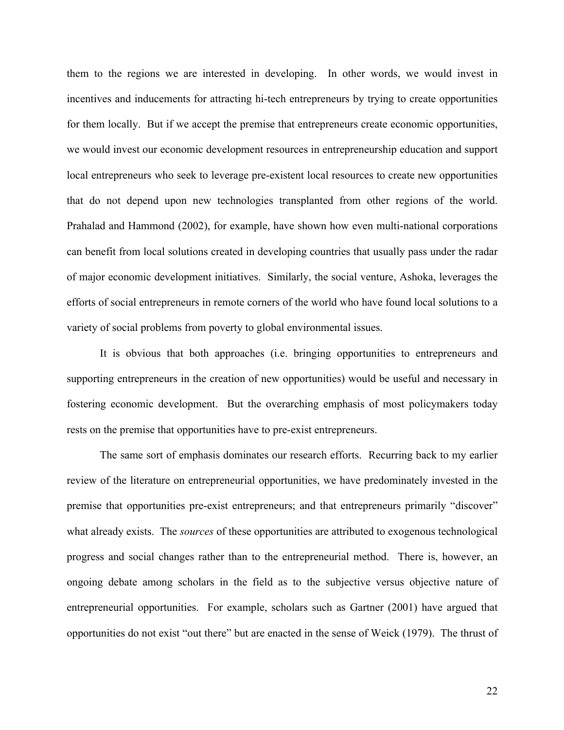them to the regions we are interested in developing. In other words, we would invest in incentives and inducements for attracting hi-tech entrepreneurs by trying to create opportunities for them locally. But if we accept the premise that entrepreneurs create economic opportunities, we would invest our economic development resources in entrepreneurship education and support local entrepreneurs who seek to leverage pre-existent local resources to create new opportunities that do not depend upon new technologies transplanted from other regions of the world. Prahalad and Hammond (2002), for example, have shown how even multi-national corporations can benefit from local solutions created in developing countries that usually pass under the radar of major economic development initiatives. Similarly, the social venture, Ashoka, leverages the efforts of social entrepreneurs in remote corners of the world who have found local solutions to a variety of social problems from poverty to global environmental issues.

It is obvious that both approaches (i.e. bringing opportunities to entrepreneurs and supporting entrepreneurs in the creation of new opportunities) would be useful and necessary in fostering economic development. But the overarching emphasis of most policymakers today rests on the premise that opportunities have to pre-exist entrepreneurs.

The same sort of emphasis dominates our research efforts. Recurring back to my earlier review of the literature on entrepreneurial opportunities, we have predominately invested in the premise that opportunities pre-exist entrepreneurs; and that entrepreneurs primarily "discover" what already exists. The *sources* of these opportunities are attributed to exogenous technological progress and social changes rather than to the entrepreneurial method. There is, however, an ongoing debate among scholars in the field as to the subjective versus objective nature of entrepreneurial opportunities. For example, scholars such as Gartner (2001) have argued that opportunities do not exist "out there" but are enacted in the sense of Weick (1979). The thrust of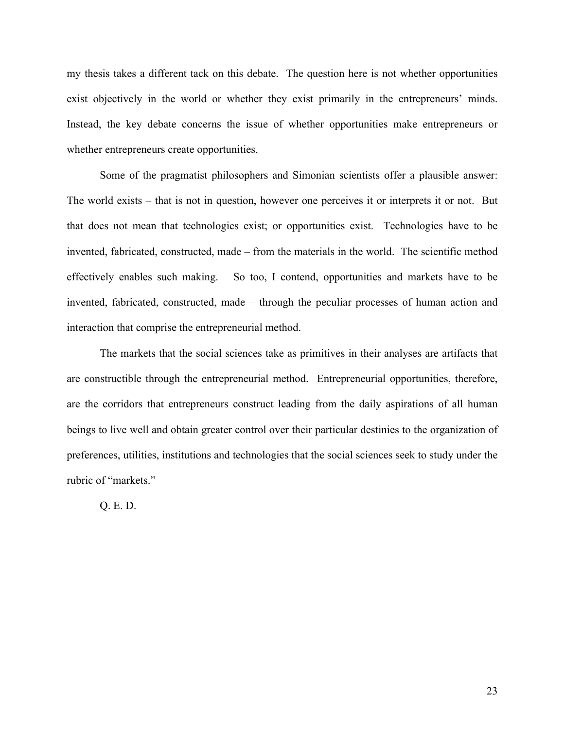my thesis takes a different tack on this debate. The question here is not whether opportunities exist objectively in the world or whether they exist primarily in the entrepreneurs' minds. Instead, the key debate concerns the issue of whether opportunities make entrepreneurs or whether entrepreneurs create opportunities.

Some of the pragmatist philosophers and Simonian scientists offer a plausible answer: The world exists – that is not in question, however one perceives it or interprets it or not. But that does not mean that technologies exist; or opportunities exist. Technologies have to be invented, fabricated, constructed, made – from the materials in the world. The scientific method effectively enables such making. So too, I contend, opportunities and markets have to be invented, fabricated, constructed, made – through the peculiar processes of human action and interaction that comprise the entrepreneurial method.

The markets that the social sciences take as primitives in their analyses are artifacts that are constructible through the entrepreneurial method. Entrepreneurial opportunities, therefore, are the corridors that entrepreneurs construct leading from the daily aspirations of all human beings to live well and obtain greater control over their particular destinies to the organization of preferences, utilities, institutions and technologies that the social sciences seek to study under the rubric of "markets."

Q. E. D.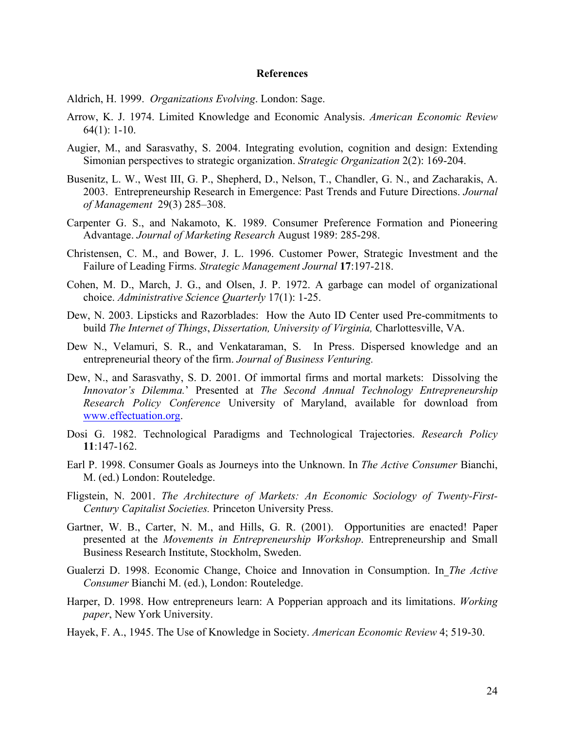#### **References**

- Aldrich, H. 1999. *Organizations Evolving*. London: Sage.
- Arrow, K. J. 1974. Limited Knowledge and Economic Analysis. *American Economic Review*  64(1): 1-10.
- Augier, M., and Sarasvathy, S. 2004. Integrating evolution, cognition and design: Extending Simonian perspectives to strategic organization. *Strategic Organization* 2(2): 169-204.
- Busenitz, L. W., West III, G. P., Shepherd, D., Nelson, T., Chandler, G. N., and Zacharakis, A. 2003. Entrepreneurship Research in Emergence: Past Trends and Future Directions. *Journal of Management* 29(3) 285–308.
- Carpenter G. S., and Nakamoto, K. 1989. Consumer Preference Formation and Pioneering Advantage. *Journal of Marketing Research* August 1989: 285-298.
- Christensen, C. M., and Bower, J. L. 1996. Customer Power, Strategic Investment and the Failure of Leading Firms. *Strategic Management Journal* **17**:197-218.
- Cohen, M. D., March, J. G., and Olsen, J. P. 1972. A garbage can model of organizational choice. *Administrative Science Quarterly* 17(1): 1-25.
- Dew, N. 2003. Lipsticks and Razorblades: How the Auto ID Center used Pre-commitments to build *The Internet of Things*, *Dissertation, University of Virginia,* Charlottesville, VA.
- Dew N., Velamuri, S. R., and Venkataraman, S. In Press. Dispersed knowledge and an entrepreneurial theory of the firm. *Journal of Business Venturing.*
- Dew, N., and Sarasvathy, S. D. 2001. Of immortal firms and mortal markets: Dissolving the *Innovator's Dilemma.*' Presented at *The Second Annual Technology Entrepreneurship Research Policy Conference* University of Maryland, available for download from www.effectuation.org.
- Dosi G. 1982. Technological Paradigms and Technological Trajectories. *Research Policy* **11**:147-162.
- Earl P. 1998. Consumer Goals as Journeys into the Unknown. In *The Active Consumer* Bianchi, M. (ed.) London: Routeledge.
- Fligstein, N. 2001. *The Architecture of Markets: An Economic Sociology of Twenty-First-Century Capitalist Societies.* Princeton University Press.
- Gartner, W. B., Carter, N. M., and Hills, G. R. (2001). Opportunities are enacted! Paper presented at the *Movements in Entrepreneurship Workshop*. Entrepreneurship and Small Business Research Institute, Stockholm, Sweden.
- Gualerzi D. 1998. Economic Change, Choice and Innovation in Consumption. In *The Active Consumer* Bianchi M. (ed.), London: Routeledge.
- Harper, D. 1998. How entrepreneurs learn: A Popperian approach and its limitations. *Working paper*, New York University.
- Hayek, F. A., 1945. The Use of Knowledge in Society. *American Economic Review* 4; 519-30.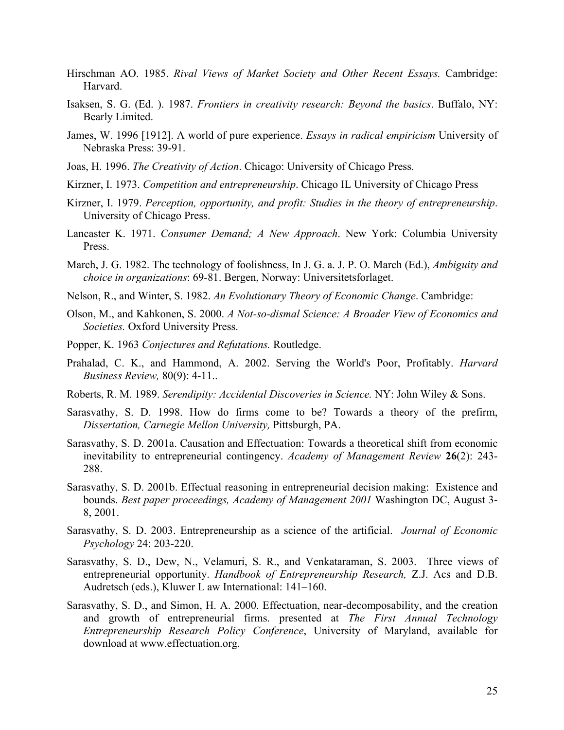- Hirschman AO. 1985. *Rival Views of Market Society and Other Recent Essays.* Cambridge: Harvard.
- Isaksen, S. G. (Ed. ). 1987. *Frontiers in creativity research: Beyond the basics*. Buffalo, NY: Bearly Limited.
- James, W. 1996 [1912]. A world of pure experience. *Essays in radical empiricism* University of Nebraska Press: 39-91.
- Joas, H. 1996. *The Creativity of Action*. Chicago: University of Chicago Press.
- Kirzner, I. 1973. *Competition and entrepreneurship*. Chicago IL University of Chicago Press
- Kirzner, I. 1979. *Perception, opportunity, and profit: Studies in the theory of entrepreneurship*. University of Chicago Press.
- Lancaster K. 1971. *Consumer Demand; A New Approach*. New York: Columbia University Press.
- March, J. G. 1982. The technology of foolishness, In J. G. a. J. P. O. March (Ed.), *Ambiguity and choice in organizations*: 69-81. Bergen, Norway: Universitetsforlaget.
- Nelson, R., and Winter, S. 1982. *An Evolutionary Theory of Economic Change*. Cambridge:
- Olson, M., and Kahkonen, S. 2000. *A Not-so-dismal Science: A Broader View of Economics and Societies.* Oxford University Press.
- Popper, K. 1963 *Conjectures and Refutations.* Routledge.
- Prahalad, C. K., and Hammond, A. 2002. Serving the World's Poor, Profitably. *Harvard Business Review,* 80(9): 4-11..
- Roberts, R. M. 1989. *Serendipity: Accidental Discoveries in Science.* NY: John Wiley & Sons.
- Sarasvathy, S. D. 1998. How do firms come to be? Towards a theory of the prefirm, *Dissertation, Carnegie Mellon University,* Pittsburgh, PA.
- Sarasvathy, S. D. 2001a. Causation and Effectuation: Towards a theoretical shift from economic inevitability to entrepreneurial contingency. *Academy of Management Review* **26**(2): 243- 288.
- Sarasvathy, S. D. 2001b. Effectual reasoning in entrepreneurial decision making: Existence and bounds. *Best paper proceedings, Academy of Management 2001* Washington DC, August 3- 8, 2001.
- Sarasvathy, S. D. 2003. Entrepreneurship as a science of the artificial. *Journal of Economic Psychology* 24: 203-220.
- Sarasvathy, S. D., Dew, N., Velamuri, S. R., and Venkataraman, S. 2003. Three views of entrepreneurial opportunity. *Handbook of Entrepreneurship Research,* Z.J. Acs and D.B. Audretsch (eds.), Kluwer L aw International: 141–160.
- Sarasvathy, S. D., and Simon, H. A. 2000. Effectuation, near-decomposability, and the creation and growth of entrepreneurial firms. presented at *The First Annual Technology Entrepreneurship Research Policy Conference*, University of Maryland, available for download at www.effectuation.org.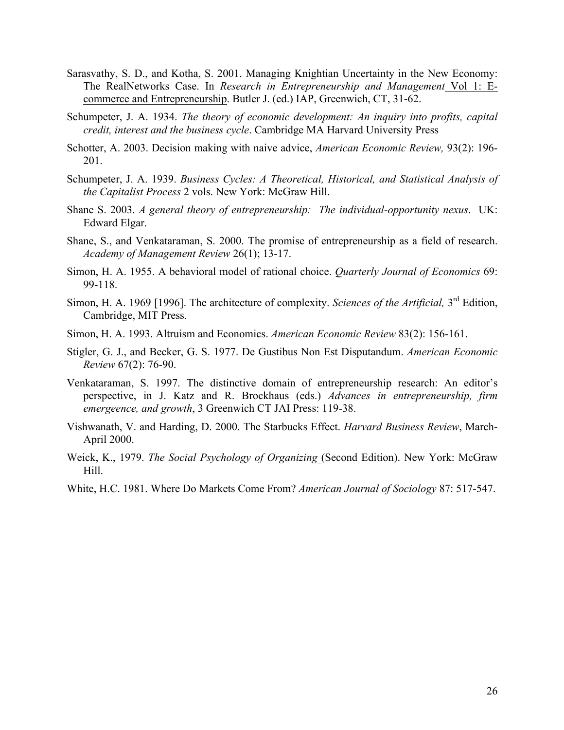- Sarasvathy, S. D., and Kotha, S. 2001. Managing Knightian Uncertainty in the New Economy: The RealNetworks Case. In *Research in Entrepreneurship and Management* Vol 1: Ecommerce and Entrepreneurship. Butler J. (ed.) IAP, Greenwich, CT, 31-62.
- Schumpeter, J. A. 1934. *The theory of economic development: An inquiry into profits, capital credit, interest and the business cycle*. Cambridge MA Harvard University Press
- Schotter, A. 2003. Decision making with naive advice, *American Economic Review,* 93(2): 196- 201.
- Schumpeter, J. A. 1939. *Business Cycles: A Theoretical, Historical, and Statistical Analysis of the Capitalist Process* 2 vols. New York: McGraw Hill.
- Shane S. 2003. *A general theory of entrepreneurship: The individual-opportunity nexus*. UK: Edward Elgar.
- Shane, S., and Venkataraman, S. 2000. The promise of entrepreneurship as a field of research. *Academy of Management Review* 26(1); 13-17.
- Simon, H. A. 1955. A behavioral model of rational choice. *Quarterly Journal of Economics* 69: 99-118.
- Simon, H. A. 1969 [1996]. The architecture of complexity. *Sciences of the Artificial*, 3<sup>rd</sup> Edition, Cambridge, MIT Press.
- Simon, H. A. 1993. Altruism and Economics. *American Economic Review* 83(2): 156-161.
- Stigler, G. J., and Becker, G. S. 1977. De Gustibus Non Est Disputandum. *American Economic Review* 67(2): 76-90.
- Venkataraman, S. 1997. The distinctive domain of entrepreneurship research: An editor's perspective, in J. Katz and R. Brockhaus (eds.) *Advances in entrepreneurship, firm emergeence, and growth*, 3 Greenwich CT JAI Press: 119-38.
- Vishwanath, V. and Harding, D. 2000. The Starbucks Effect. *Harvard Business Review*, March-April 2000.
- Weick, K., 1979. *The Social Psychology of Organizing* (Second Edition). New York: McGraw Hill.
- White, H.C. 1981. Where Do Markets Come From? *American Journal of Sociology* 87: 517-547.